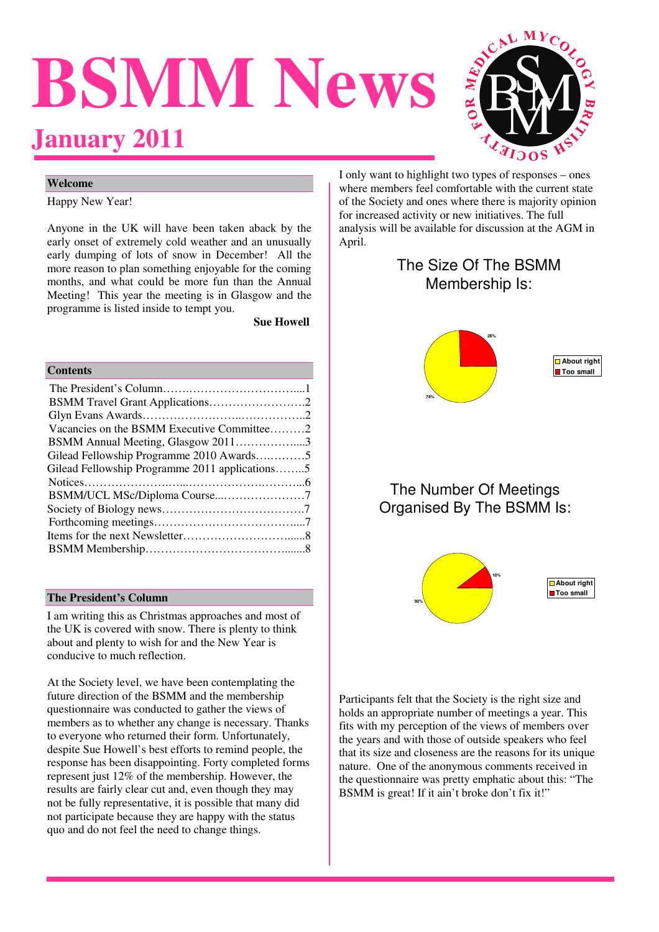# **BSMM News January 2011**



# **Welcome**

Happy New Year!

Anyone in the UK will have been taken aback by the early onset of extremely cold weather and an unusually early dumping of lots of snow in December! All the more reason to plan something enjoyable for the coming months, and what could be more fun than the Annual Meeting! This year the meeting is in Glasgow and the programme is listed inside to tempt you.

 **Sue Howell** 

#### **Contents**

| Vacancies on the BSMM Executive Committee2     |  |
|------------------------------------------------|--|
| BSMM Annual Meeting, Glasgow 20113             |  |
| Gilead Fellowship Programme 2010 Awards5       |  |
| Gilead Fellowship Programme 2011 applications5 |  |
|                                                |  |
|                                                |  |
|                                                |  |
|                                                |  |
|                                                |  |
|                                                |  |

#### **The President's Column**

I am writing this as Christmas approaches and most of the UK is covered with snow. There is plenty to think about and plenty to wish for and the New Year is conducive to much reflection.

At the Society level, we have been contemplating the future direction of the BSMM and the membership questionnaire was conducted to gather the views of members as to whether any change is necessary. Thanks to everyone who returned their form. Unfortunately, despite Sue Howell's best efforts to remind people, the response has been disappointing. Forty completed forms represent just 12% of the membership. However, the results are fairly clear cut and, even though they may not be fully representative, it is possible that many did not participate because they are happy with the status quo and do not feel the need to change things.

I only want to highlight two types of responses – ones where members feel comfortable with the current state of the Society and ones where there is majority opinion for increased activity or new initiatives. The full analysis will be available for discussion at the AGM in April.

# The Size Of The BSMM Membership Is:



**About right Too small** 

# The Number Of Meetings Organised By The BSMM Is:



Participants felt that the Society is the right size and holds an appropriate number of meetings a year. This fits with my perception of the views of members over the years and with those of outside speakers who feel that its size and closeness are the reasons for its unique nature. One of the anonymous comments received in the questionnaire was pretty emphatic about this: "The BSMM is great! If it ain't broke don't fix it!"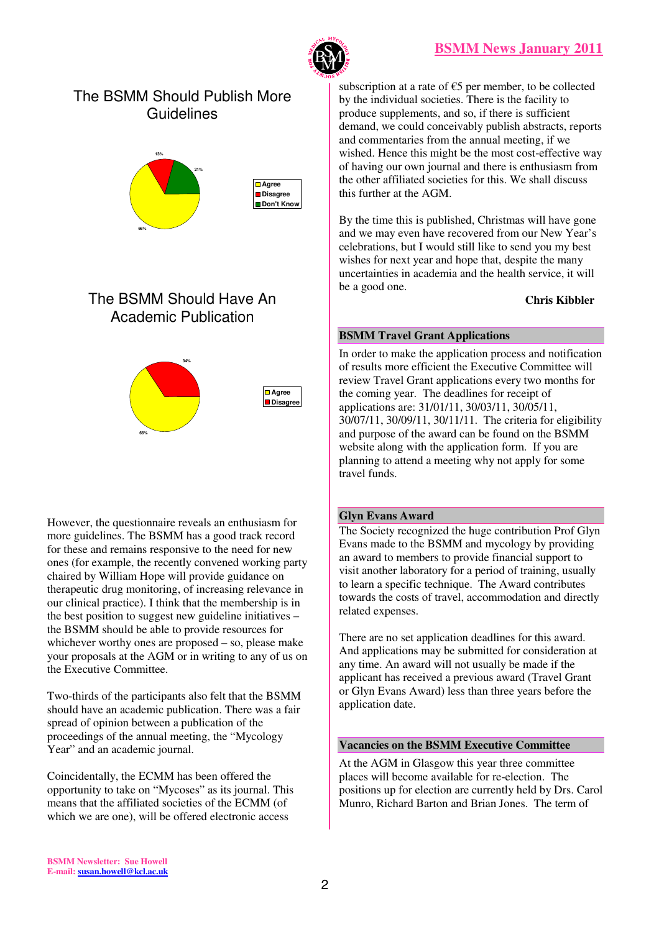

# The BSMM Should Publish More **Guidelines**



# The BSMM Should Have An Academic Publication



However, the questionnaire reveals an enthusiasm for more guidelines. The BSMM has a good track record for these and remains responsive to the need for new ones (for example, the recently convened working party chaired by William Hope will provide guidance on therapeutic drug monitoring, of increasing relevance in our clinical practice). I think that the membership is in the best position to suggest new guideline initiatives – the BSMM should be able to provide resources for whichever worthy ones are proposed – so, please make your proposals at the AGM or in writing to any of us on the Executive Committee.

Two-thirds of the participants also felt that the BSMM should have an academic publication. There was a fair spread of opinion between a publication of the proceedings of the annual meeting, the "Mycology Year" and an academic journal.

Coincidentally, the ECMM has been offered the opportunity to take on "Mycoses" as its journal. This means that the affiliated societies of the ECMM (of which we are one), will be offered electronic access

subscription at a rate of  $E$ 5 per member, to be collected by the individual societies. There is the facility to produce supplements, and so, if there is sufficient demand, we could conceivably publish abstracts, reports and commentaries from the annual meeting, if we wished. Hence this might be the most cost-effective way of having our own journal and there is enthusiasm from the other affiliated societies for this. We shall discuss this further at the AGM.

By the time this is published, Christmas will have gone and we may even have recovered from our New Year's celebrations, but I would still like to send you my best wishes for next year and hope that, despite the many uncertainties in academia and the health service, it will be a good one.

#### **Chris Kibbler**

# **BSMM Travel Grant Applications**

In order to make the application process and notification of results more efficient the Executive Committee will review Travel Grant applications every two months for the coming year. The deadlines for receipt of applications are: 31/01/11, 30/03/11, 30/05/11, 30/07/11, 30/09/11, 30/11/11. The criteria for eligibility and purpose of the award can be found on the BSMM website along with the application form. If you are planning to attend a meeting why not apply for some travel funds.

# **Glyn Evans Award**

The Society recognized the huge contribution Prof Glyn Evans made to the BSMM and mycology by providing an award to members to provide financial support to visit another laboratory for a period of training, usually to learn a specific technique. The Award contributes towards the costs of travel, accommodation and directly related expenses.

There are no set application deadlines for this award. And applications may be submitted for consideration at any time. An award will not usually be made if the applicant has received a previous award (Travel Grant or Glyn Evans Award) less than three years before the application date.

# **Vacancies on the BSMM Executive Committee**

At the AGM in Glasgow this year three committee places will become available for re-election. The positions up for election are currently held by Drs. Carol Munro, Richard Barton and Brian Jones. The term of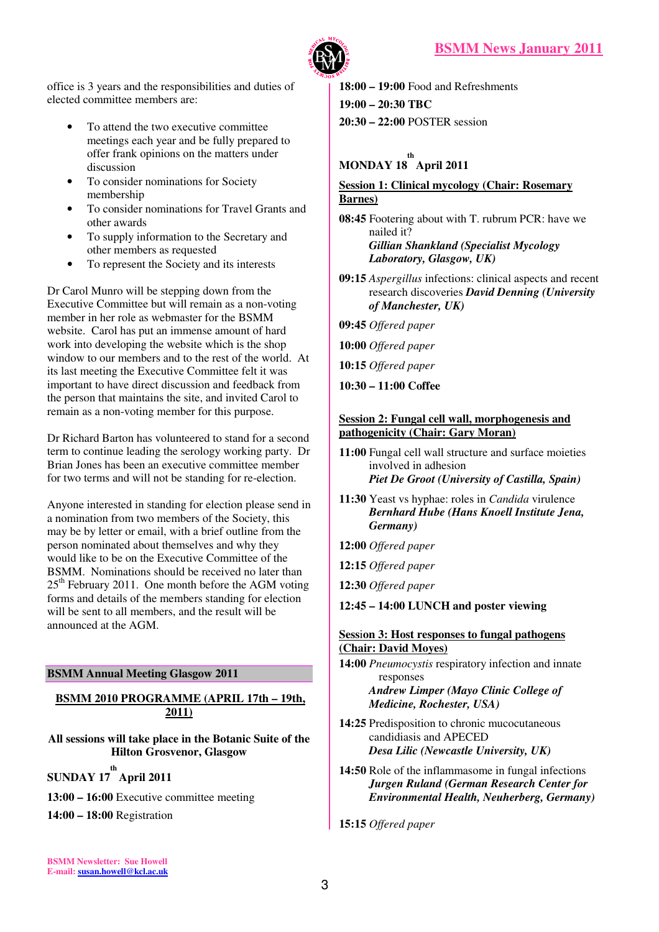

office is 3 years and the responsibilities and duties of elected committee members are:

- To attend the two executive committee meetings each year and be fully prepared to offer frank opinions on the matters under discussion
- To consider nominations for Society membership
- To consider nominations for Travel Grants and other awards
- To supply information to the Secretary and other members as requested
- To represent the Society and its interests

Dr Carol Munro will be stepping down from the Executive Committee but will remain as a non-voting member in her role as webmaster for the BSMM website. Carol has put an immense amount of hard work into developing the website which is the shop window to our members and to the rest of the world. At its last meeting the Executive Committee felt it was important to have direct discussion and feedback from the person that maintains the site, and invited Carol to remain as a non-voting member for this purpose.

Dr Richard Barton has volunteered to stand for a second term to continue leading the serology working party. Dr Brian Jones has been an executive committee member for two terms and will not be standing for re-election.

Anyone interested in standing for election please send in a nomination from two members of the Society, this may be by letter or email, with a brief outline from the person nominated about themselves and why they would like to be on the Executive Committee of the BSMM. Nominations should be received no later than  $25<sup>th</sup>$  February 2011. One month before the AGM voting forms and details of the members standing for election will be sent to all members, and the result will be announced at the AGM.

# **BSMM Annual Meeting Glasgow 2011**

#### **BSMM 2010 PROGRAMME (APRIL 17th – 19th, 2011)**

**All sessions will take place in the Botanic Suite of the Hilton Grosvenor, Glasgow** 

**SUNDAY 17 th April 2011** 

**13:00 – 16:00** Executive committee meeting

**14:00 – 18:00** Registration

**18:00 – 19:00** Food and Refreshments **19:00 – 20:30 TBC 20:30 – 22:00** POSTER session

# **MONDAY 18 th April 2011**

# **Session 1: Clinical mycology (Chair: Rosemary Barnes)**

**08:45** Footering about with T. rubrum PCR: have we nailed it? *Gillian Shankland (Specialist Mycology Laboratory, Glasgow, UK)* 

- **09:15** *Aspergillus* infections: clinical aspects and recent research discoveries *David Denning (University of Manchester, UK)*
- **09:45** *Offered paper*
- **10:00** *Offered paper*
- **10:15** *Offered paper*
- **10:30 11:00 Coffee**

### **Session 2: Fungal cell wall, morphogenesis and pathogenicity (Chair: Gary Moran)**

- **11:00** Fungal cell wall structure and surface moieties involved in adhesion *Piet De Groot (University of Castilla, Spain)*
- **11:30** Yeast vs hyphae: roles in *Candida* virulence *Bernhard Hube (Hans Knoell Institute Jena, Germany)*
- **12:00** *Offered paper*
- **12:15** *Offered paper*
- **12:30** *Offered paper*

**12:45 – 14:00 LUNCH and poster viewing** 

#### **Sess**i**on 3: Host responses to fungal pathogens (Chair: David Moyes)**

**14:00** *Pneumocystis* respiratory infection and innate responses

*Andrew Limper (Mayo Clinic College of Medicine, Rochester, USA)* 

- **14:25** Predisposition to chronic mucocutaneous candidiasis and APECED *Desa Lilic (Newcastle University, UK)*
- **14:50** Role of the inflammasome in fungal infections *Jurgen Ruland (German Research Center for Environmental Health, Neuherberg, Germany)*

**15:15** *Offered paper* 

**BSMM Newsletter: Sue Howell E-mail: susan.howell@kcl.ac.uk**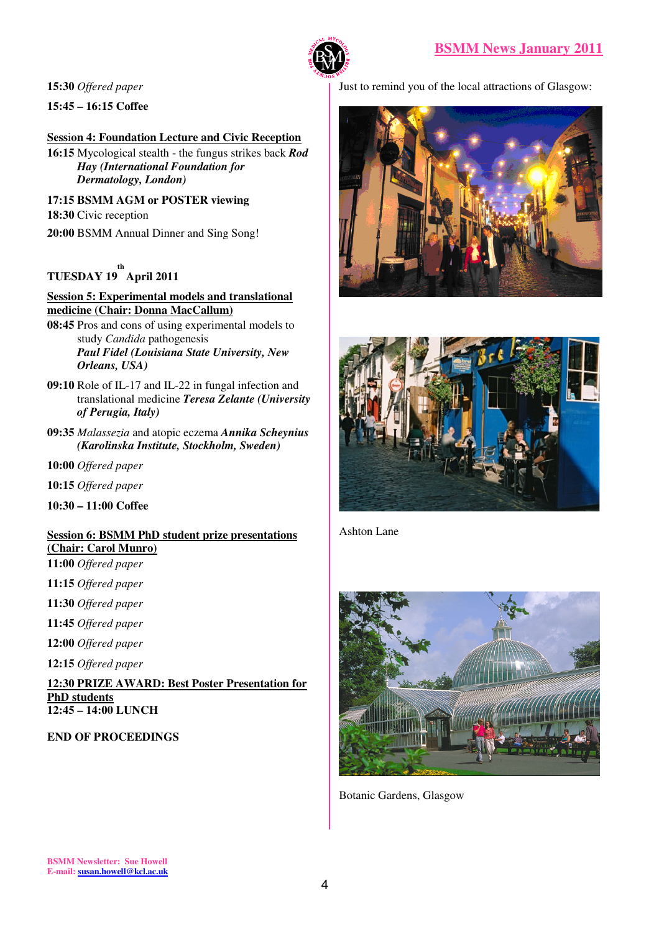

**15:30** *Offered paper* 

**15:45 – 16:15 Coffee** 

### **<u>Session 4: Foundation Lecture and Civic Reception</u>**

**16:15** Mycological stealth - the fungus strikes back *Rod Hay (International Foundation for Dermatology, London)* 

**17:15 BSMM AGM or POSTER viewing** 

**18:30** Civic reception

**20:00** BSMM Annual Dinner and Sing Song!

# **TUESDAY 19 th April 2011**

#### **Session 5: Experimental models and translational medicine (Chair: Donna MacCallum)**

- **08:45** Pros and cons of using experimental models to study *Candida* pathogenesis *Paul Fidel (Louisiana State University, New Orleans, USA)*
- **09:10** Role of IL-17 and IL-22 in fungal infection and translational medicine *Teresa Zelante (University of Perugia, Italy)*
- **09:35** *Malassezia* and atopic eczema *Annika Scheynius (Karolinska Institute, Stockholm, Sweden)*
- **10:00** *Offered paper*
- **10:15** *Offered paper*
- **10:30 11:00 Coffee**

# **Session 6: BSMM PhD student prize presentations (Chair: Carol Munro)**

- **11:00** *Offered paper*
- **11:15** *Offered paper*
- **11:30** *Offered paper*
- **11:45** *Offered paper*
- **12:00** *Offered paper*
- **12:15** *Offered paper*

**12:30 PRIZE AWARD: Best Poster Presentation for PhD students 12:45 – 14:00 LUNCH** 

# **END OF PROCEEDINGS**

Just to remind you of the local attractions of Glasgow:





Ashton Lane



Botanic Gardens, Glasgow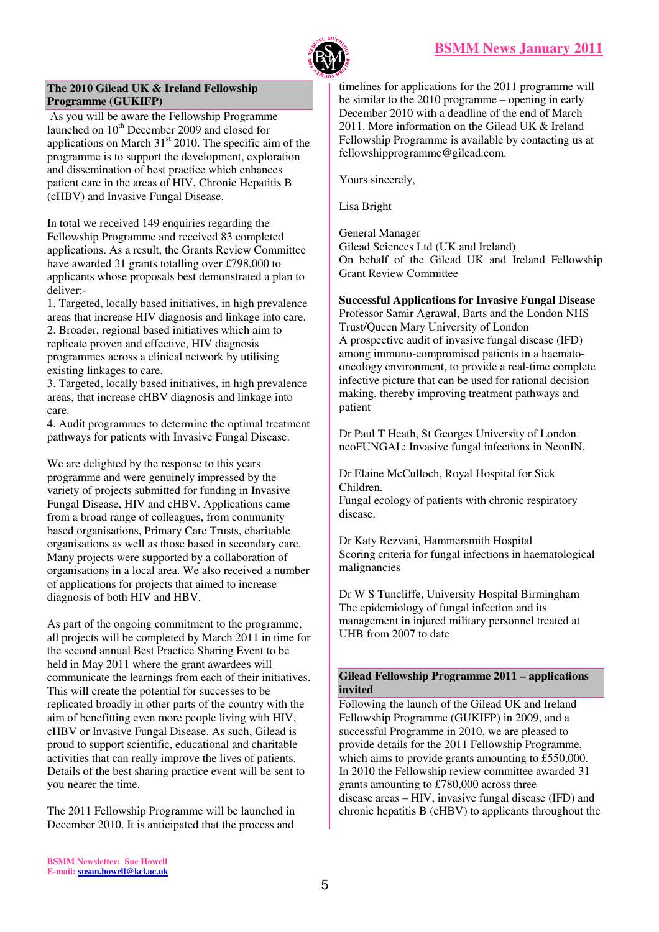

#### **The 2010 Gilead UK & Ireland Fellowship Programme (GUKIFP)**

 As you will be aware the Fellowship Programme launched on  $10<sup>th</sup>$  December 2009 and closed for applications on March  $31<sup>st</sup>$  2010. The specific aim of the programme is to support the development, exploration and dissemination of best practice which enhances patient care in the areas of HIV, Chronic Hepatitis B (cHBV) and Invasive Fungal Disease.

In total we received 149 enquiries regarding the Fellowship Programme and received 83 completed applications. As a result, the Grants Review Committee have awarded 31 grants totalling over £798,000 to applicants whose proposals best demonstrated a plan to deliver:-

1. Targeted, locally based initiatives, in high prevalence areas that increase HIV diagnosis and linkage into care. 2. Broader, regional based initiatives which aim to replicate proven and effective, HIV diagnosis programmes across a clinical network by utilising existing linkages to care.

3. Targeted, locally based initiatives, in high prevalence areas, that increase cHBV diagnosis and linkage into care.

4. Audit programmes to determine the optimal treatment pathways for patients with Invasive Fungal Disease.

We are delighted by the response to this years programme and were genuinely impressed by the variety of projects submitted for funding in Invasive Fungal Disease, HIV and cHBV. Applications came from a broad range of colleagues, from community based organisations, Primary Care Trusts, charitable organisations as well as those based in secondary care. Many projects were supported by a collaboration of organisations in a local area. We also received a number of applications for projects that aimed to increase diagnosis of both HIV and HBV.

As part of the ongoing commitment to the programme, all projects will be completed by March 2011 in time for the second annual Best Practice Sharing Event to be held in May 2011 where the grant awardees will communicate the learnings from each of their initiatives. This will create the potential for successes to be replicated broadly in other parts of the country with the aim of benefitting even more people living with HIV, cHBV or Invasive Fungal Disease. As such, Gilead is proud to support scientific, educational and charitable activities that can really improve the lives of patients. Details of the best sharing practice event will be sent to you nearer the time.

The 2011 Fellowship Programme will be launched in December 2010. It is anticipated that the process and

timelines for applications for the 2011 programme will be similar to the 2010 programme – opening in early December 2010 with a deadline of the end of March 2011. More information on the Gilead UK & Ireland Fellowship Programme is available by contacting us at fellowshipprogramme@gilead.com.

Yours sincerely,

Lisa Bright

General Manager Gilead Sciences Ltd (UK and Ireland) On behalf of the Gilead UK and Ireland Fellowship Grant Review Committee

**Successful Applications for Invasive Fungal Disease**  Professor Samir Agrawal, Barts and the London NHS Trust/Queen Mary University of London A prospective audit of invasive fungal disease (IFD) among immuno-compromised patients in a haematooncology environment, to provide a real-time complete infective picture that can be used for rational decision making, thereby improving treatment pathways and patient

Dr Paul T Heath, St Georges University of London. neoFUNGAL: Invasive fungal infections in NeonIN.

Dr Elaine McCulloch, Royal Hospital for Sick Children. Fungal ecology of patients with chronic respiratory disease.

Dr Katy Rezvani, Hammersmith Hospital Scoring criteria for fungal infections in haematological malignancies

Dr W S Tuncliffe, University Hospital Birmingham The epidemiology of fungal infection and its management in injured military personnel treated at UHB from 2007 to date

#### **Gilead Fellowship Programme 2011 – applications invited**

Following the launch of the Gilead UK and Ireland Fellowship Programme (GUKIFP) in 2009, and a successful Programme in 2010, we are pleased to provide details for the 2011 Fellowship Programme, which aims to provide grants amounting to £550,000. In 2010 the Fellowship review committee awarded 31 grants amounting to £780,000 across three disease areas – HIV, invasive fungal disease (IFD) and chronic hepatitis B (cHBV) to applicants throughout the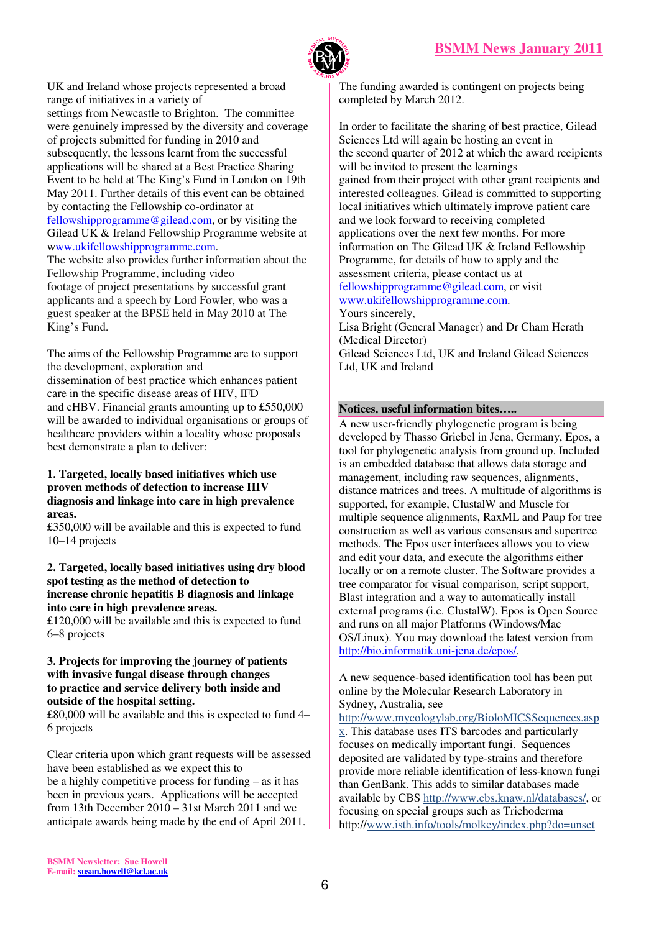



UK and Ireland whose projects represented a broad range of initiatives in a variety of settings from Newcastle to Brighton. The committee were genuinely impressed by the diversity and coverage of projects submitted for funding in 2010 and subsequently, the lessons learnt from the successful applications will be shared at a Best Practice Sharing Event to be held at The King's Fund in London on 19th May 2011. Further details of this event can be obtained by contacting the Fellowship co-ordinator at fellowshipprogramme@gilead.com, or by visiting the Gilead UK & Ireland Fellowship Programme website at www.ukifellowshipprogramme.com. The website also provides further information about the

Fellowship Programme, including video footage of project presentations by successful grant applicants and a speech by Lord Fowler, who was a guest speaker at the BPSE held in May 2010 at The King's Fund.

The aims of the Fellowship Programme are to support the development, exploration and dissemination of best practice which enhances patient care in the specific disease areas of HIV, IFD and cHBV. Financial grants amounting up to £550,000 will be awarded to individual organisations or groups of healthcare providers within a locality whose proposals best demonstrate a plan to deliver:

#### **1. Targeted, locally based initiatives which use proven methods of detection to increase HIV diagnosis and linkage into care in high prevalence areas.**

£350,000 will be available and this is expected to fund 10–14 projects

**2. Targeted, locally based initiatives using dry blood spot testing as the method of detection to increase chronic hepatitis B diagnosis and linkage into care in high prevalence areas.** 

£120,000 will be available and this is expected to fund 6–8 projects

#### **3. Projects for improving the journey of patients with invasive fungal disease through changes to practice and service delivery both inside and outside of the hospital setting.**

£80,000 will be available and this is expected to fund 4– 6 projects

Clear criteria upon which grant requests will be assessed have been established as we expect this to be a highly competitive process for funding – as it has been in previous years. Applications will be accepted from 13th December 2010 – 31st March 2011 and we anticipate awards being made by the end of April 2011.

The funding awarded is contingent on projects being completed by March 2012.

In order to facilitate the sharing of best practice, Gilead Sciences Ltd will again be hosting an event in the second quarter of 2012 at which the award recipients will be invited to present the learnings gained from their project with other grant recipients and interested colleagues. Gilead is committed to supporting local initiatives which ultimately improve patient care and we look forward to receiving completed applications over the next few months. For more information on The Gilead UK & Ireland Fellowship Programme, for details of how to apply and the assessment criteria, please contact us at fellowshipprogramme@gilead.com, or visit www.ukifellowshipprogramme.com. Yours sincerely,

Lisa Bright (General Manager) and Dr Cham Herath (Medical Director)

Gilead Sciences Ltd, UK and Ireland Gilead Sciences Ltd, UK and Ireland

#### **Notices, useful information bites…..**

A new user-friendly phylogenetic program is being developed by Thasso Griebel in Jena, Germany, Epos, a tool for phylogenetic analysis from ground up. Included is an embedded database that allows data storage and management, including raw sequences, alignments, distance matrices and trees. A multitude of algorithms is supported, for example, ClustalW and Muscle for multiple sequence alignments, RaxML and Paup for tree construction as well as various consensus and supertree methods. The Epos user interfaces allows you to view and edit your data, and execute the algorithms either locally or on a remote cluster. The Software provides a tree comparator for visual comparison, script support, Blast integration and a way to automatically install external programs (i.e. ClustalW). Epos is Open Source and runs on all major Platforms (Windows/Mac OS/Linux). You may download the latest version from http://bio.informatik.uni-jena.de/epos/.

A new sequence-based identification tool has been put online by the Molecular Research Laboratory in Sydney, Australia, see

http://www.mycologylab.org/BioloMICSSequences.asp x. This database uses ITS barcodes and particularly focuses on medically important fungi. Sequences deposited are validated by type-strains and therefore provide more reliable identification of less-known fungi than GenBank. This adds to similar databases made available by CBS http://www.cbs.knaw.nl/databases/, or focusing on special groups such as Trichoderma http://www.isth.info/tools/molkey/index.php?do=unset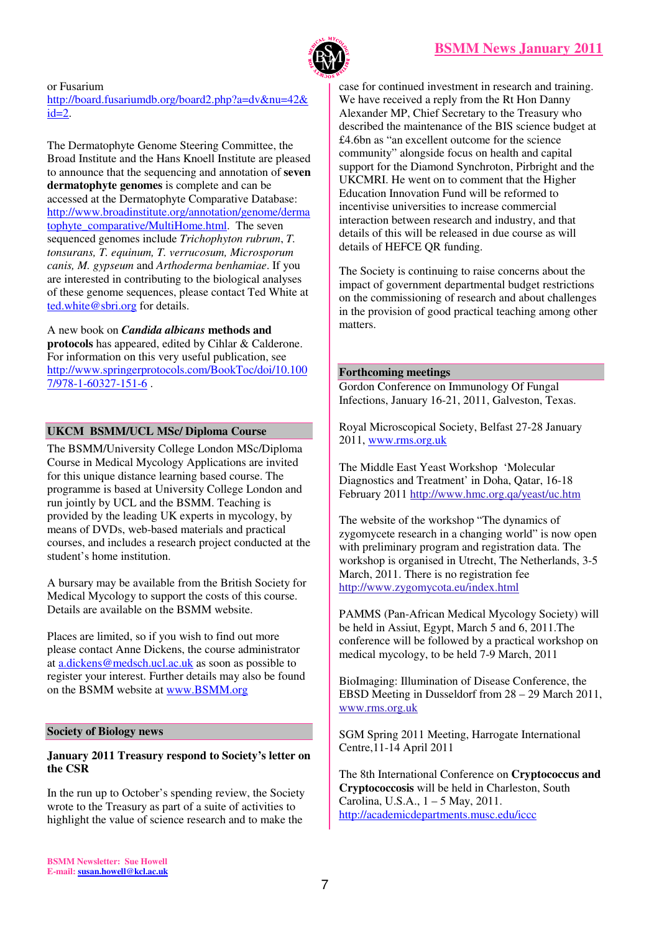

or Fusarium http://board.fusariumdb.org/board2.php?a=dv&nu=42&  $id=2$ .

The Dermatophyte Genome Steering Committee, the Broad Institute and the Hans Knoell Institute are pleased to announce that the sequencing and annotation of **seven dermatophyte genomes** is complete and can be accessed at the Dermatophyte Comparative Database: http://www.broadinstitute.org/annotation/genome/derma tophyte\_comparative/MultiHome.html. The seven sequenced genomes include *Trichophyton rubrum*, *T. tonsurans, T. equinum, T. verrucosum, Microsporum canis, M. gypseum* and *Arthoderma benhamiae*. If you are interested in contributing to the biological analyses of these genome sequences, please contact Ted White at ted.white@sbri.org for details.

A new book on *Candida albicans* **methods and protocols** has appeared, edited by Cihlar & Calderone. For information on this very useful publication, see http://www.springerprotocols.com/BookToc/doi/10.100 7/978-1-60327-151-6 .

# **UKCM BSMM/UCL MSc/ Diploma Course**

The BSMM/University College London MSc/Diploma Course in Medical Mycology Applications are invited for this unique distance learning based course. The programme is based at University College London and run jointly by UCL and the BSMM. Teaching is provided by the leading UK experts in mycology, by means of DVDs, web-based materials and practical courses, and includes a research project conducted at the student's home institution.

A bursary may be available from the British Society for Medical Mycology to support the costs of this course. Details are available on the BSMM website.

Places are limited, so if you wish to find out more please contact Anne Dickens, the course administrator at a.dickens@medsch.ucl.ac.uk as soon as possible to register your interest. Further details may also be found on the BSMM website at www.BSMM.org

# **Society of Biology news**

#### **January 2011 Treasury respond to Society's letter on the CSR**

In the run up to October's spending review, the Society wrote to the Treasury as part of a suite of activities to highlight the value of science research and to make the

case for continued investment in research and training. We have received a reply from the Rt Hon Danny Alexander MP, Chief Secretary to the Treasury who described the maintenance of the BIS science budget at £4.6bn as "an excellent outcome for the science community" alongside focus on health and capital support for the Diamond Synchroton, Pirbright and the UKCMRI. He went on to comment that the Higher Education Innovation Fund will be reformed to incentivise universities to increase commercial interaction between research and industry, and that details of this will be released in due course as will details of HEFCE QR funding.

The Society is continuing to raise concerns about the impact of government departmental budget restrictions on the commissioning of research and about challenges in the provision of good practical teaching among other matters.

#### **Forthcoming meetings**

Gordon Conference on Immunology Of Fungal Infections, January 16-21, 2011, Galveston, Texas.

Royal Microscopical Society, Belfast 27-28 January 2011, www.rms.org.uk

The Middle East Yeast Workshop 'Molecular Diagnostics and Treatment' in Doha, Qatar, 16-18 February 2011 http://www.hmc.org.qa/yeast/uc.htm

The website of the workshop "The dynamics of zygomycete research in a changing world" is now open with preliminary program and registration data. The workshop is organised in Utrecht, The Netherlands, 3-5 March, 2011. There is no registration fee http://www.zygomycota.eu/index.html

PAMMS (Pan-African Medical Mycology Society) will be held in Assiut, Egypt, March 5 and 6, 2011.The conference will be followed by a practical workshop on medical mycology, to be held 7-9 March, 2011

BioImaging: Illumination of Disease Conference, the EBSD Meeting in Dusseldorf from 28 – 29 March 2011, www.rms.org.uk

SGM Spring 2011 Meeting, Harrogate International Centre,11-14 April 2011

The 8th International Conference on **Cryptococcus and Cryptococcosis** will be held in Charleston, South Carolina, U.S.A., 1 – 5 May, 2011. http://academicdepartments.musc.edu/iccc